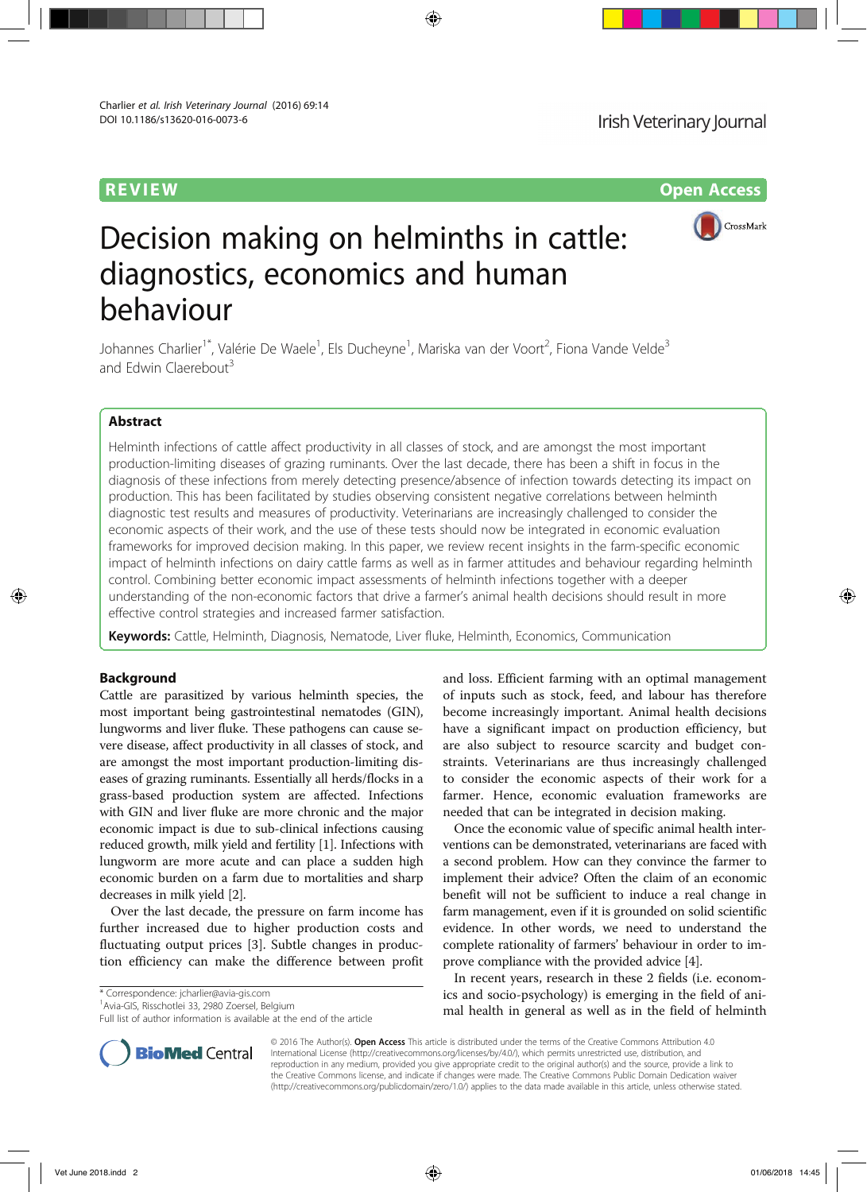REVIEW **Department of the Contract of Contract Contract of Contract Contract Contract Open Access** 

CrossMark



Johannes Charlier<sup>1\*</sup>, Valérie De Waele<sup>1</sup>, Els Ducheyne<sup>1</sup>, Mariska van der Voort<sup>2</sup>, Fiona Vande Velde<sup>3</sup> and Edwin Claerebout<sup>3</sup>

# Abstract

Helminth infections of cattle affect productivity in all classes of stock, and are amongst the most important production-limiting diseases of grazing ruminants. Over the last decade, there has been a shift in focus in the diagnosis of these infections from merely detecting presence/absence of infection towards detecting its impact on production. This has been facilitated by studies observing consistent negative correlations between helminth diagnostic test results and measures of productivity. Veterinarians are increasingly challenged to consider the economic aspects of their work, and the use of these tests should now be integrated in economic evaluation frameworks for improved decision making. In this paper, we review recent insights in the farm-specific economic impact of helminth infections on dairy cattle farms as well as in farmer attitudes and behaviour regarding helminth control. Combining better economic impact assessments of helminth infections together with a deeper understanding of the non-economic factors that drive a farmer's animal health decisions should result in more effective control strategies and increased farmer satisfaction.

Keywords: Cattle, Helminth, Diagnosis, Nematode, Liver fluke, Helminth, Economics, Communication

## Background

Cattle are parasitized by various helminth species, the most important being gastrointestinal nematodes (GIN), lungworms and liver fluke. These pathogens can cause severe disease, affect productivity in all classes of stock, and are amongst the most important production-limiting diseases of grazing ruminants. Essentially all herds/flocks in a grass-based production system are affected. Infections with GIN and liver fluke are more chronic and the major economic impact is due to sub-clinical infections causing reduced growth, milk yield and fertility [1]. Infections with lungworm are more acute and can place a sudden high economic burden on a farm due to mortalities and sharp decreases in milk yield [2].

Over the last decade, the pressure on farm income has further increased due to higher production costs and fluctuating output prices [3]. Subtle changes in production efficiency can make the difference between profit

\* Correspondence: jcharlier@avia-gis.com <sup>1</sup>

<sup>1</sup> Avia-GIS, Risschotlei 33, 2980 Zoersel, Belgium

and loss. Efficient farming with an optimal management of inputs such as stock, feed, and labour has therefore become increasingly important. Animal health decisions have a significant impact on production efficiency, but are also subject to resource scarcity and budget constraints. Veterinarians are thus increasingly challenged to consider the economic aspects of their work for a farmer. Hence, economic evaluation frameworks are needed that can be integrated in decision making.

Once the economic value of specific animal health interventions can be demonstrated, veterinarians are faced with a second problem. How can they convince the farmer to implement their advice? Often the claim of an economic benefit will not be sufficient to induce a real change in farm management, even if it is grounded on solid scientific evidence. In other words, we need to understand the complete rationality of farmers' behaviour in order to improve compliance with the provided advice [4].

In recent years, research in these 2 fields (i.e. economics and socio-psychology) is emerging in the field of animal health in general as well as in the field of helminth



© 2016 The Author(s). Open Access This article is distributed under the terms of the Creative Commons Attribution 4.0 International License (http://creativecommons.org/licenses/by/4.0/), which permits unrestricted use, distribution, and reproduction in any medium, provided you give appropriate credit to the original author(s) and the source, provide a link to the Creative Commons license, and indicate if changes were made. The Creative Commons Public Domain Dedication waiver (http://creativecommons.org/publicdomain/zero/1.0/) applies to the data made available in this article, unless otherwise stated.

Full list of author information is available at the end of the article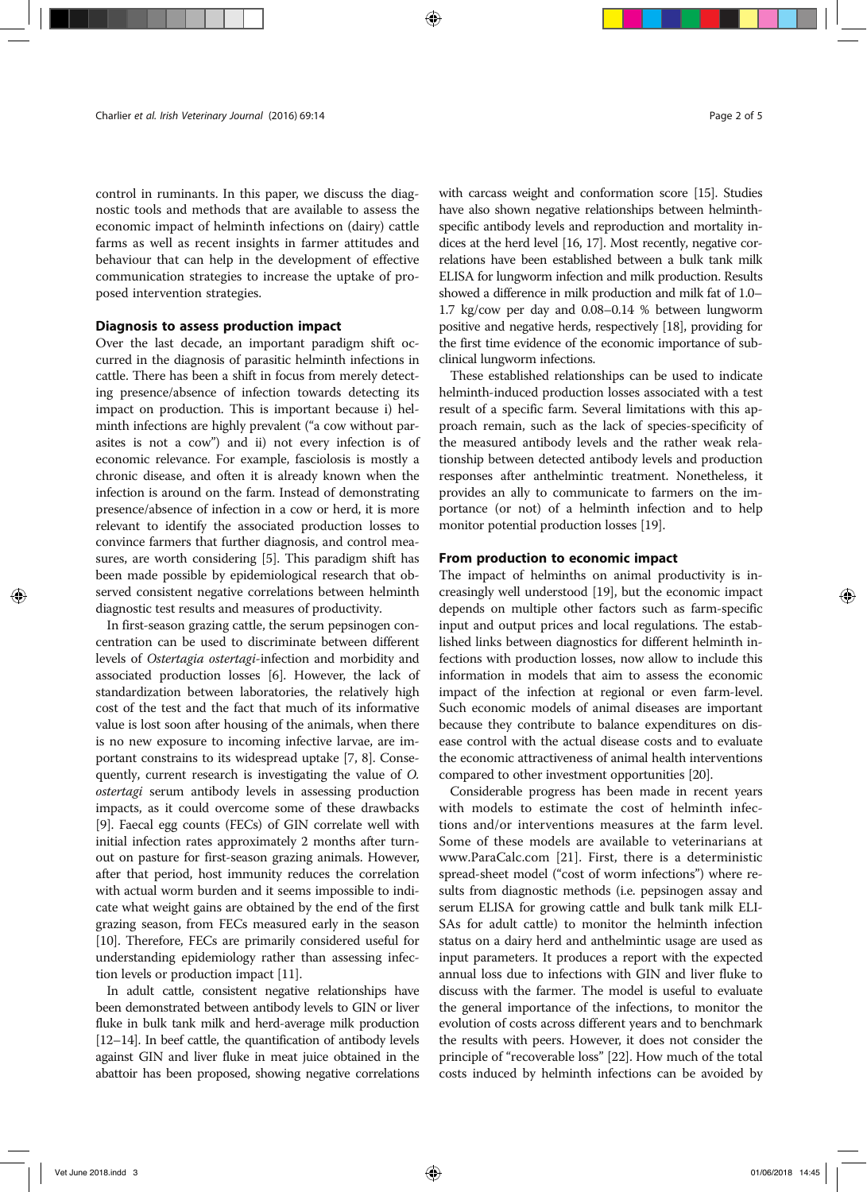control in ruminants. In this paper, we discuss the diagnostic tools and methods that are available to assess the economic impact of helminth infections on (dairy) cattle farms as well as recent insights in farmer attitudes and behaviour that can help in the development of effective communication strategies to increase the uptake of proposed intervention strategies.

## Diagnosis to assess production impact

Over the last decade, an important paradigm shift occurred in the diagnosis of parasitic helminth infections in cattle. There has been a shift in focus from merely detecting presence/absence of infection towards detecting its impact on production. This is important because i) helminth infections are highly prevalent ("a cow without parasites is not a cow") and ii) not every infection is of economic relevance. For example, fasciolosis is mostly a chronic disease, and often it is already known when the infection is around on the farm. Instead of demonstrating presence/absence of infection in a cow or herd, it is more relevant to identify the associated production losses to convince farmers that further diagnosis, and control measures, are worth considering [5]. This paradigm shift has been made possible by epidemiological research that observed consistent negative correlations between helminth diagnostic test results and measures of productivity.

In first-season grazing cattle, the serum pepsinogen concentration can be used to discriminate between different levels of Ostertagia ostertagi-infection and morbidity and associated production losses [6]. However, the lack of standardization between laboratories, the relatively high cost of the test and the fact that much of its informative value is lost soon after housing of the animals, when there is no new exposure to incoming infective larvae, are important constrains to its widespread uptake [7, 8]. Consequently, current research is investigating the value of O. ostertagi serum antibody levels in assessing production impacts, as it could overcome some of these drawbacks [9]. Faecal egg counts (FECs) of GIN correlate well with initial infection rates approximately 2 months after turnout on pasture for first-season grazing animals. However, after that period, host immunity reduces the correlation with actual worm burden and it seems impossible to indicate what weight gains are obtained by the end of the first grazing season, from FECs measured early in the season [10]. Therefore, FECs are primarily considered useful for understanding epidemiology rather than assessing infection levels or production impact [11].

In adult cattle, consistent negative relationships have been demonstrated between antibody levels to GIN or liver fluke in bulk tank milk and herd-average milk production [12–14]. In beef cattle, the quantification of antibody levels against GIN and liver fluke in meat juice obtained in the abattoir has been proposed, showing negative correlations

with carcass weight and conformation score [15]. Studies have also shown negative relationships between helminthspecific antibody levels and reproduction and mortality indices at the herd level [16, 17]. Most recently, negative correlations have been established between a bulk tank milk ELISA for lungworm infection and milk production. Results showed a difference in milk production and milk fat of 1.0– 1.7 kg/cow per day and 0.08–0.14 % between lungworm positive and negative herds, respectively [18], providing for the first time evidence of the economic importance of subclinical lungworm infections.

These established relationships can be used to indicate helminth-induced production losses associated with a test result of a specific farm. Several limitations with this approach remain, such as the lack of species-specificity of the measured antibody levels and the rather weak relationship between detected antibody levels and production responses after anthelmintic treatment. Nonetheless, it provides an ally to communicate to farmers on the importance (or not) of a helminth infection and to help monitor potential production losses [19].

## From production to economic impact

The impact of helminths on animal productivity is increasingly well understood [19], but the economic impact depends on multiple other factors such as farm-specific input and output prices and local regulations. The established links between diagnostics for different helminth infections with production losses, now allow to include this information in models that aim to assess the economic impact of the infection at regional or even farm-level. Such economic models of animal diseases are important because they contribute to balance expenditures on disease control with the actual disease costs and to evaluate the economic attractiveness of animal health interventions compared to other investment opportunities [20].

Considerable progress has been made in recent years with models to estimate the cost of helminth infections and/or interventions measures at the farm level. Some of these models are available to veterinarians at www.ParaCalc.com [21]. First, there is a deterministic spread-sheet model ("cost of worm infections") where results from diagnostic methods (i.e. pepsinogen assay and serum ELISA for growing cattle and bulk tank milk ELI-SAs for adult cattle) to monitor the helminth infection status on a dairy herd and anthelmintic usage are used as input parameters. It produces a report with the expected annual loss due to infections with GIN and liver fluke to discuss with the farmer. The model is useful to evaluate the general importance of the infections, to monitor the evolution of costs across different years and to benchmark the results with peers. However, it does not consider the principle of "recoverable loss" [22]. How much of the total costs induced by helminth infections can be avoided by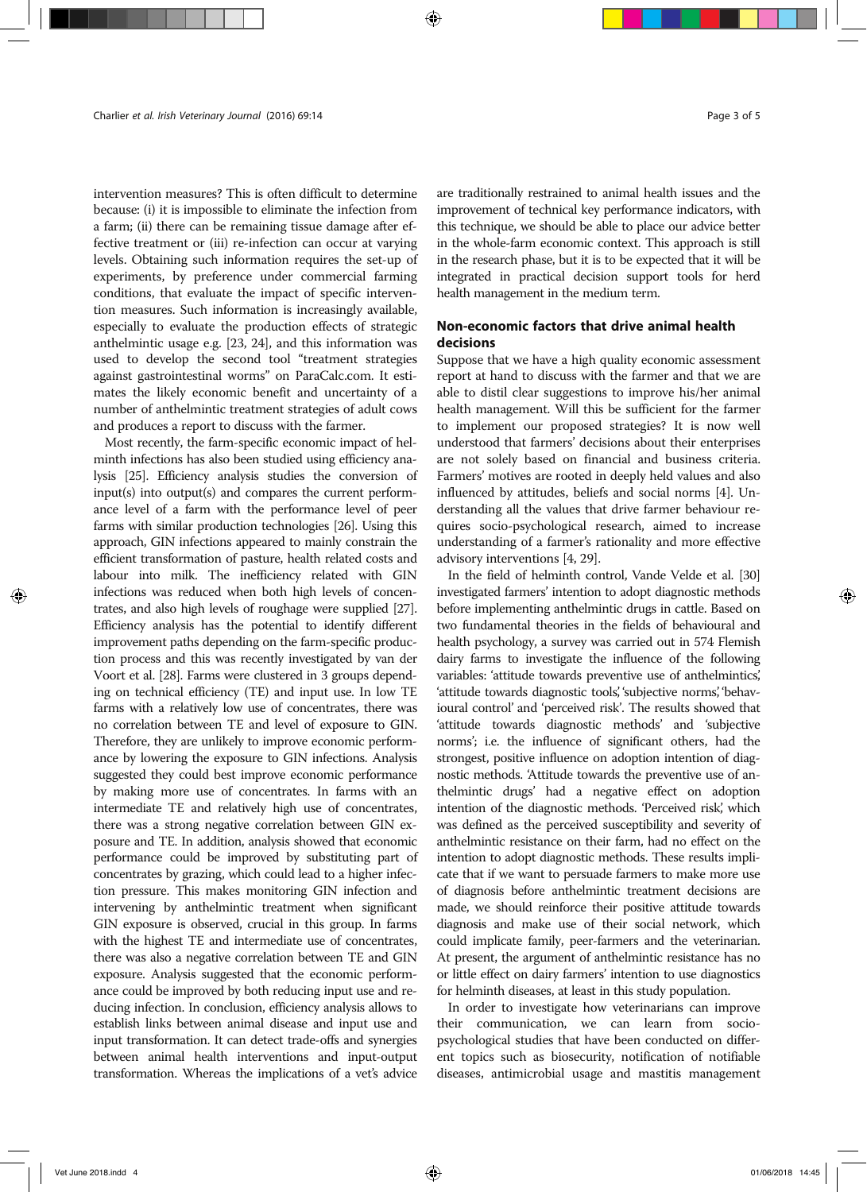intervention measures? This is often difficult to determine because: (i) it is impossible to eliminate the infection from a farm; (ii) there can be remaining tissue damage after effective treatment or (iii) re-infection can occur at varying levels. Obtaining such information requires the set-up of experiments, by preference under commercial farming conditions, that evaluate the impact of specific intervention measures. Such information is increasingly available, especially to evaluate the production effects of strategic anthelmintic usage e.g. [23, 24], and this information was used to develop the second tool "treatment strategies against gastrointestinal worms" on ParaCalc.com. It estimates the likely economic benefit and uncertainty of a number of anthelmintic treatment strategies of adult cows and produces a report to discuss with the farmer.

Most recently, the farm-specific economic impact of helminth infections has also been studied using efficiency analysis [25]. Efficiency analysis studies the conversion of input(s) into output(s) and compares the current performance level of a farm with the performance level of peer farms with similar production technologies [26]. Using this approach, GIN infections appeared to mainly constrain the efficient transformation of pasture, health related costs and labour into milk. The inefficiency related with GIN infections was reduced when both high levels of concentrates, and also high levels of roughage were supplied [27]. Efficiency analysis has the potential to identify different improvement paths depending on the farm-specific production process and this was recently investigated by van der Voort et al. [28]. Farms were clustered in 3 groups depending on technical efficiency (TE) and input use. In low TE farms with a relatively low use of concentrates, there was no correlation between TE and level of exposure to GIN. Therefore, they are unlikely to improve economic performance by lowering the exposure to GIN infections. Analysis suggested they could best improve economic performance by making more use of concentrates. In farms with an intermediate TE and relatively high use of concentrates, there was a strong negative correlation between GIN exposure and TE. In addition, analysis showed that economic performance could be improved by substituting part of concentrates by grazing, which could lead to a higher infection pressure. This makes monitoring GIN infection and intervening by anthelmintic treatment when significant GIN exposure is observed, crucial in this group. In farms with the highest TE and intermediate use of concentrates, there was also a negative correlation between TE and GIN exposure. Analysis suggested that the economic performance could be improved by both reducing input use and reducing infection. In conclusion, efficiency analysis allows to establish links between animal disease and input use and input transformation. It can detect trade-offs and synergies between animal health interventions and input-output transformation. Whereas the implications of a vet's advice

are traditionally restrained to animal health issues and the improvement of technical key performance indicators, with this technique, we should be able to place our advice better in the whole-farm economic context. This approach is still in the research phase, but it is to be expected that it will be integrated in practical decision support tools for herd health management in the medium term.

# Non-economic factors that drive animal health decisions

Suppose that we have a high quality economic assessment report at hand to discuss with the farmer and that we are able to distil clear suggestions to improve his/her animal health management. Will this be sufficient for the farmer to implement our proposed strategies? It is now well understood that farmers' decisions about their enterprises are not solely based on financial and business criteria. Farmers' motives are rooted in deeply held values and also influenced by attitudes, beliefs and social norms [4]. Understanding all the values that drive farmer behaviour requires socio-psychological research, aimed to increase understanding of a farmer's rationality and more effective advisory interventions [4, 29].

In the field of helminth control, Vande Velde et al. [30] investigated farmers' intention to adopt diagnostic methods before implementing anthelmintic drugs in cattle. Based on two fundamental theories in the fields of behavioural and health psychology, a survey was carried out in 574 Flemish dairy farms to investigate the influence of the following variables: 'attitude towards preventive use of anthelmintics,' 'attitude towards diagnostic tools, 'subjective norms,' behavioural control' and 'perceived risk'. The results showed that 'attitude towards diagnostic methods' and 'subjective norms'; i.e. the influence of significant others, had the strongest, positive influence on adoption intention of diagnostic methods. 'Attitude towards the preventive use of anthelmintic drugs' had a negative effect on adoption intention of the diagnostic methods. 'Perceived risk', which was defined as the perceived susceptibility and severity of anthelmintic resistance on their farm, had no effect on the intention to adopt diagnostic methods. These results implicate that if we want to persuade farmers to make more use of diagnosis before anthelmintic treatment decisions are made, we should reinforce their positive attitude towards diagnosis and make use of their social network, which could implicate family, peer-farmers and the veterinarian. At present, the argument of anthelmintic resistance has no or little effect on dairy farmers' intention to use diagnostics for helminth diseases, at least in this study population.

In order to investigate how veterinarians can improve their communication, we can learn from sociopsychological studies that have been conducted on different topics such as biosecurity, notification of notifiable diseases, antimicrobial usage and mastitis management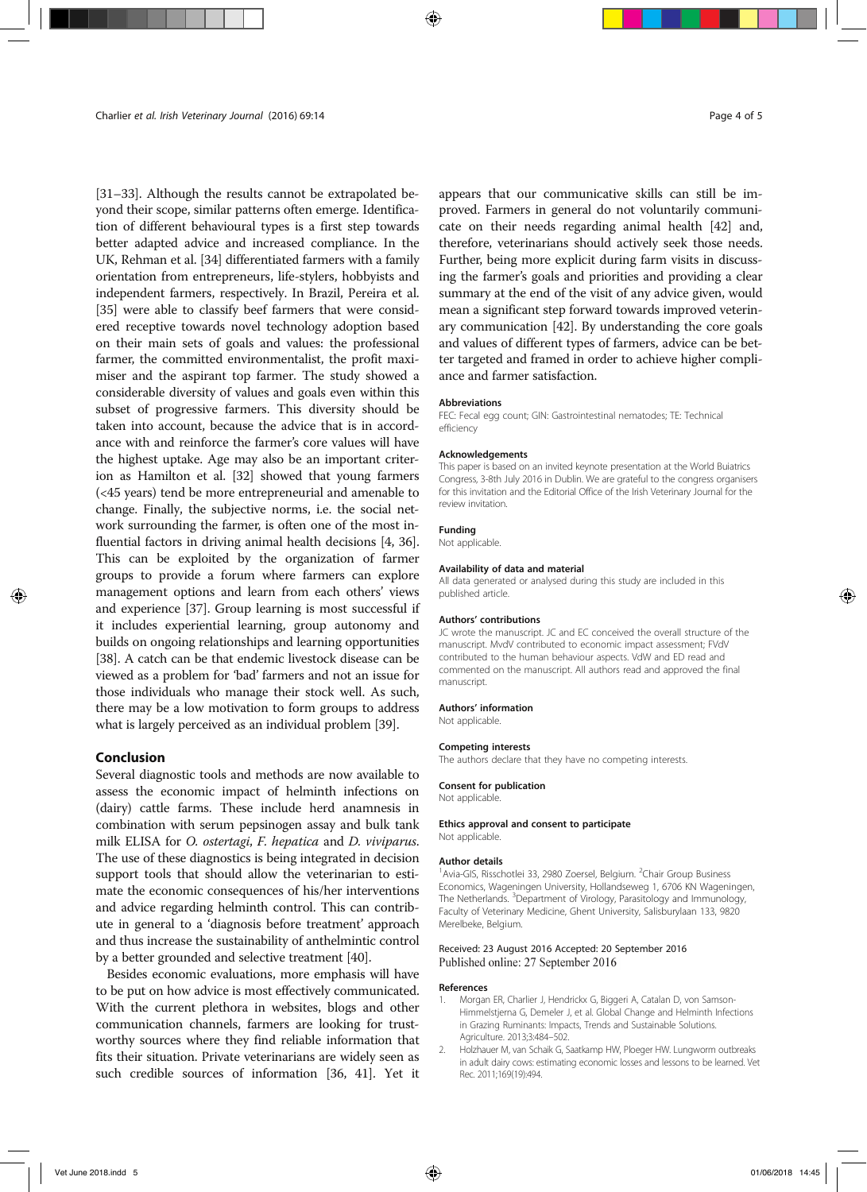[31–33]. Although the results cannot be extrapolated beyond their scope, similar patterns often emerge. Identification of different behavioural types is a first step towards better adapted advice and increased compliance. In the UK, Rehman et al. [34] differentiated farmers with a family orientation from entrepreneurs, life-stylers, hobbyists and independent farmers, respectively. In Brazil, Pereira et al. [35] were able to classify beef farmers that were considered receptive towards novel technology adoption based on their main sets of goals and values: the professional farmer, the committed environmentalist, the profit maximiser and the aspirant top farmer. The study showed a considerable diversity of values and goals even within this subset of progressive farmers. This diversity should be taken into account, because the advice that is in accordance with and reinforce the farmer's core values will have the highest uptake. Age may also be an important criterion as Hamilton et al. [32] showed that young farmers (<45 years) tend be more entrepreneurial and amenable to change. Finally, the subjective norms, i.e. the social network surrounding the farmer, is often one of the most influential factors in driving animal health decisions [4, 36]. This can be exploited by the organization of farmer groups to provide a forum where farmers can explore management options and learn from each others' views and experience [37]. Group learning is most successful if it includes experiential learning, group autonomy and builds on ongoing relationships and learning opportunities [38]. A catch can be that endemic livestock disease can be viewed as a problem for 'bad' farmers and not an issue for those individuals who manage their stock well. As such, there may be a low motivation to form groups to address what is largely perceived as an individual problem [39].

## Conclusion

Several diagnostic tools and methods are now available to assess the economic impact of helminth infections on (dairy) cattle farms. These include herd anamnesis in combination with serum pepsinogen assay and bulk tank milk ELISA for O. ostertagi, F. hepatica and D. viviparus. The use of these diagnostics is being integrated in decision support tools that should allow the veterinarian to estimate the economic consequences of his/her interventions and advice regarding helminth control. This can contribute in general to a 'diagnosis before treatment' approach and thus increase the sustainability of anthelmintic control by a better grounded and selective treatment [40].

Besides economic evaluations, more emphasis will have to be put on how advice is most effectively communicated. With the current plethora in websites, blogs and other communication channels, farmers are looking for trustworthy sources where they find reliable information that fits their situation. Private veterinarians are widely seen as such credible sources of information [36, 41]. Yet it appears that our communicative skills can still be improved. Farmers in general do not voluntarily communicate on their needs regarding animal health [42] and, therefore, veterinarians should actively seek those needs. Further, being more explicit during farm visits in discussing the farmer's goals and priorities and providing a clear summary at the end of the visit of any advice given, would mean a significant step forward towards improved veterinary communication [42]. By understanding the core goals and values of different types of farmers, advice can be better targeted and framed in order to achieve higher compliance and farmer satisfaction.

#### Abbreviations

FEC: Fecal egg count; GIN: Gastrointestinal nematodes; TE: Technical efficiency

#### Acknowledgements

This paper is based on an invited keynote presentation at the World Buiatrics Congress, 3-8th July 2016 in Dublin. We are grateful to the congress organisers for this invitation and the Editorial Office of the Irish Veterinary Journal for the review invitation.

### Funding

Not applicable.

#### Availability of data and material

All data generated or analysed during this study are included in this published article.

#### Authors' contributions

JC wrote the manuscript. JC and EC conceived the overall structure of the manuscript. MvdV contributed to economic impact assessment; FVdV contributed to the human behaviour aspects. VdW and ED read and commented on the manuscript. All authors read and approved the final manuscript.

## Authors' information

Not applicable.

#### Competing interests

The authors declare that they have no competing interests.

#### Consent for publication

Not applicable.

### Ethics approval and consent to participate

Not applicable.

#### Author details

<sup>1</sup> Avia-GIS, Risschotlei 33, 2980 Zoersel, Belgium. <sup>2</sup> Chair Group Business Economics, Wageningen University, Hollandseweg 1, 6706 KN Wageningen, The Netherlands. <sup>3</sup>Department of Virology, Parasitology and Immunology Faculty of Veterinary Medicine, Ghent University, Salisburylaan 133, 9820 Merelbeke, Belgium.

#### Received: 23 August 2016 Accepted: 20 September 2016 Published online: 27 September 2016

#### References

- Morgan ER, Charlier J, Hendrickx G, Biggeri A, Catalan D, von Samson-Himmelstjerna G, Demeler J, et al. Global Change and Helminth Infections in Grazing Ruminants: Impacts, Trends and Sustainable Solutions. Agriculture. 2013;3:484–502.
- 2. Holzhauer M, van Schaik G, Saatkamp HW, Ploeger HW. Lungworm outbreaks in adult dairy cows: estimating economic losses and lessons to be learned. Vet Rec. 2011;169(19):494.